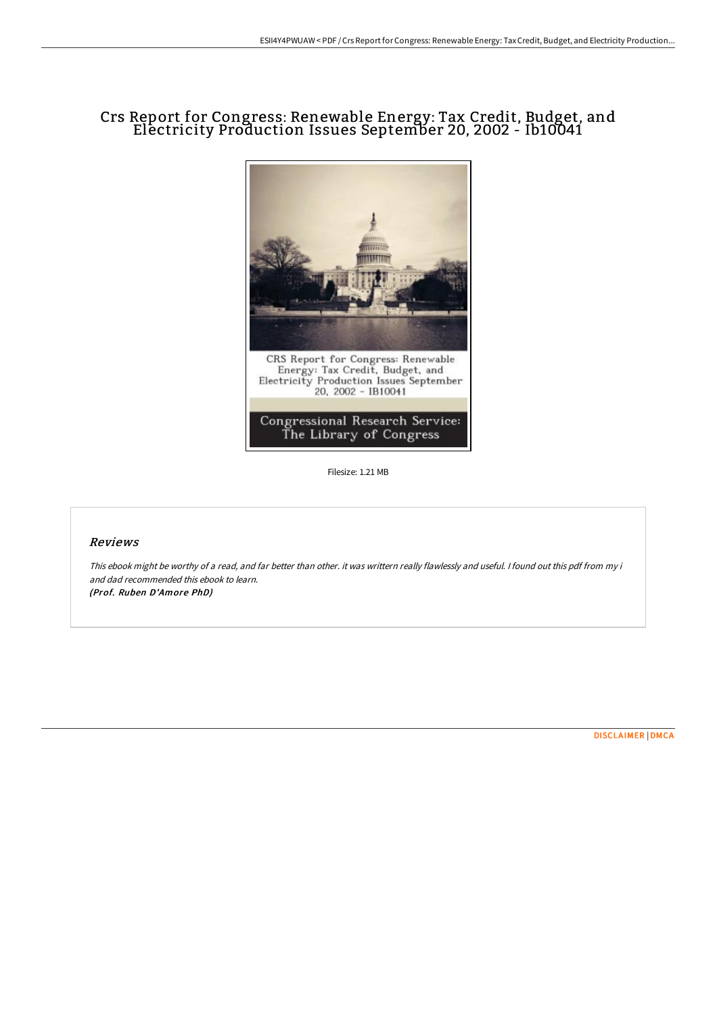## Crs Report for Congress: Renewable Energy: Tax Credit, Budget, and Electricity Production Issues September 20, 2002 - Ib10041



Filesize: 1.21 MB

## Reviews

This ebook might be worthy of <sup>a</sup> read, and far better than other. it was writtern really flawlessly and useful. <sup>I</sup> found out this pdf from my i and dad recommended this ebook to learn. (Prof. Ruben D'Amore PhD)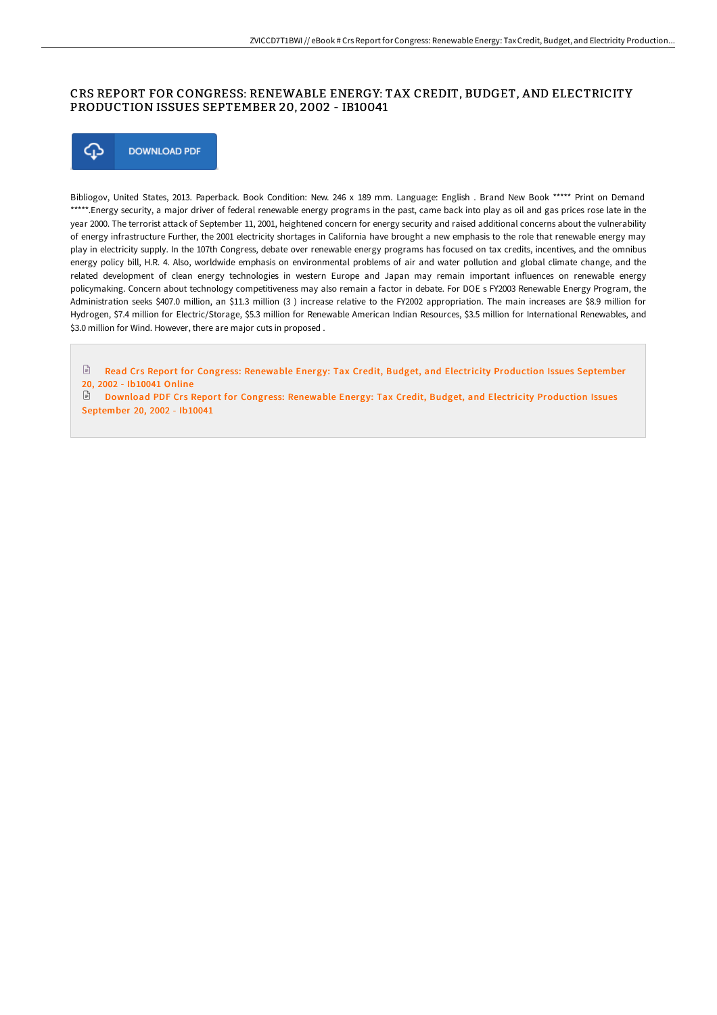## CRS REPORT FOR CONGRESS: RENEWABLE ENERGY: TAX CREDIT, BUDGET, AND ELECTRICITY PRODUCTION ISSUES SEPTEMBER 20, 2002 - IB10041



Bibliogov, United States, 2013. Paperback. Book Condition: New. 246 x 189 mm. Language: English . Brand New Book \*\*\*\*\* Print on Demand \*\*\*\*\*.Energy security, a major driver of federal renewable energy programs in the past, came back into play as oil and gas prices rose late in the year 2000. The terrorist attack of September 11, 2001, heightened concern for energy security and raised additional concerns about the vulnerability of energy infrastructure Further, the 2001 electricity shortages in California have brought a new emphasis to the role that renewable energy may play in electricity supply. In the 107th Congress, debate over renewable energy programs has focused on tax credits, incentives, and the omnibus energy policy bill, H.R. 4. Also, worldwide emphasis on environmental problems of air and water pollution and global climate change, and the related development of clean energy technologies in western Europe and Japan may remain important influences on renewable energy policymaking. Concern about technology competitiveness may also remain a factor in debate. For DOE s FY2003 Renewable Energy Program, the Administration seeks \$407.0 million, an \$11.3 million (3 ) increase relative to the FY2002 appropriation. The main increases are \$8.9 million for Hydrogen, \$7.4 million for Electric/Storage, \$5.3 million for Renewable American Indian Resources, \$3.5 million for International Renewables, and \$3.0 million for Wind. However, there are major cuts in proposed .

 $\mathop{\boxdot}$ Read Crs Report for Congress: Renewable Energy: Tax Credit, Budget, and Electricity [Production](http://techno-pub.tech/crs-report-for-congress-renewable-energy-tax-cre-16.html) Issues September 20, 2002 - Ib10041 Online

Download PDF Crs Report for Congress: Renewable Energy: Tax Credit, Budget, and Electricity [Production](http://techno-pub.tech/crs-report-for-congress-renewable-energy-tax-cre-16.html) Issues September 20, 2002 - Ib10041